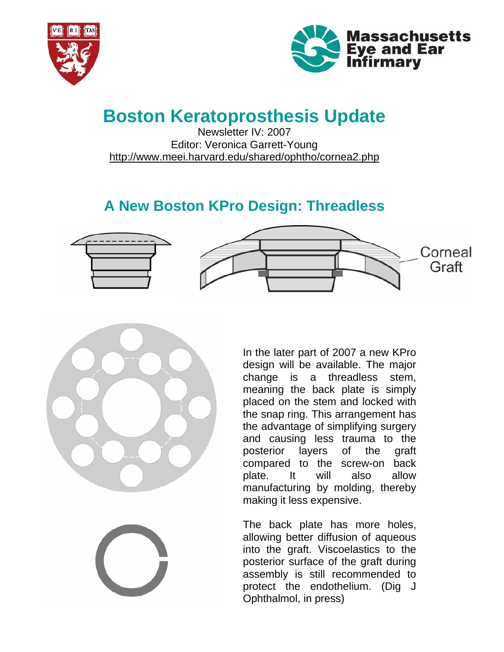



# **Boston Keratoprosthesis Update**

Newsletter IV: 2007 Editor: Veronica Garrett-Young <http://www.meei.harvard.edu/shared/ophtho/cornea2.php>

# **A New Boston KPro Design: Threadless**





In the later part of 2007 a new KPro design will be available. The major change is a threadless stem, meaning the back plate is simply placed on the stem and locked with the snap ring. This arrangement has the advantage of simplifying surgery and causing less trauma to the posterior layers of the graft compared to the screw-on back plate. It will also allow manufacturing by molding, thereby making it less expensive.

The back plate has more holes, allowing better diffusion of aqueous into the graft. Viscoelastics to the posterior surface of the graft during assembly is still recommended to protect the endothelium. (Dig J Ophthalmol, in press)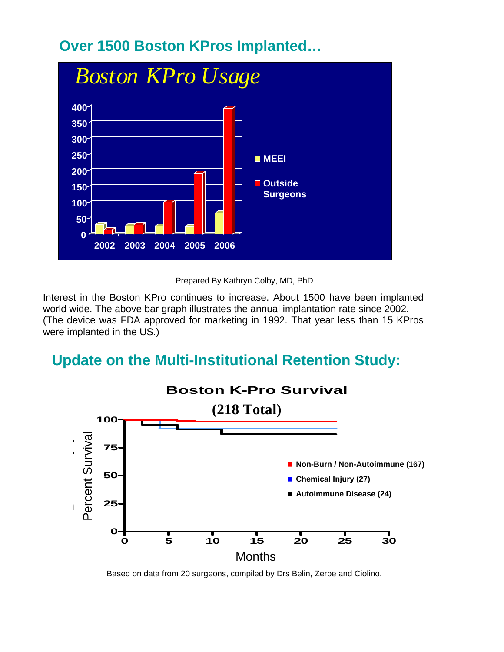# **Over 1500 Boston KPros Implanted…**



Prepared By Kathryn Colby, MD, PhD

Interest in the Boston KPro continues to increase. About 1500 have been implanted world wide. The above bar graph illustrates the annual implantation rate since 2002. (The device was FDA approved for marketing in 1992. That year less than 15 KPros were implanted in the US.)

## **Update on the Multi-Institutional Retention Study:**



Based on data from 20 surgeons, compiled by Drs Belin, Zerbe and Ciolino.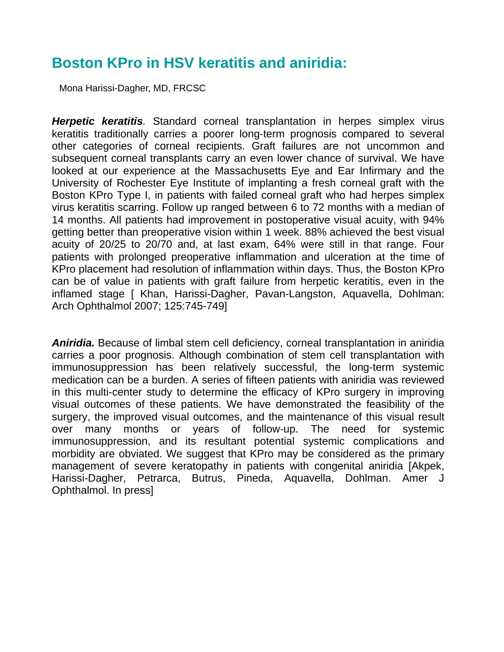### **Boston KPro in HSV keratitis and aniridia:**

Mona Harissi-Dagher, MD, FRCSC

*Herpetic keratitis.* Standard corneal transplantation in herpes simplex virus keratitis traditionally carries a poorer long-term prognosis compared to several other categories of corneal recipients. Graft failures are not uncommon and subsequent corneal transplants carry an even lower chance of survival. We have looked at our experience at the Massachusetts Eye and Ear Infirmary and the University of Rochester Eye Institute of implanting a fresh corneal graft with the Boston KPro Type I, in patients with failed corneal graft who had herpes simplex virus keratitis scarring. Follow up ranged between 6 to 72 months with a median of 14 months. All patients had improvement in postoperative visual acuity, with 94% getting better than preoperative vision within 1 week. 88% achieved the best visual acuity of 20/25 to 20/70 and, at last exam, 64% were still in that range. Four patients with prolonged preoperative inflammation and ulceration at the time of KPro placement had resolution of inflammation within days. Thus, the Boston KPro can be of value in patients with graft failure from herpetic keratitis, even in the inflamed stage [ Khan, Harissi-Dagher, Pavan-Langston, Aquavella, Dohlman: Arch Ophthalmol 2007; 125:745-749]

*Aniridia.* Because of limbal stem cell deficiency, corneal transplantation in aniridia carries a poor prognosis. Although combination of stem cell transplantation with immunosuppression has been relatively successful, the long-term systemic medication can be a burden. A series of fifteen patients with aniridia was reviewed in this multi-center study to determine the efficacy of KPro surgery in improving visual outcomes of these patients. We have demonstrated the feasibility of the surgery, the improved visual outcomes, and the maintenance of this visual result over many months or years of follow-up. The need for systemic immunosuppression, and its resultant potential systemic complications and morbidity are obviated. We suggest that KPro may be considered as the primary management of severe keratopathy in patients with congenital aniridia [Akpek, Harissi-Dagher, Petrarca, Butrus, Pineda, Aquavella, Dohlman. Amer J Ophthalmol. In press]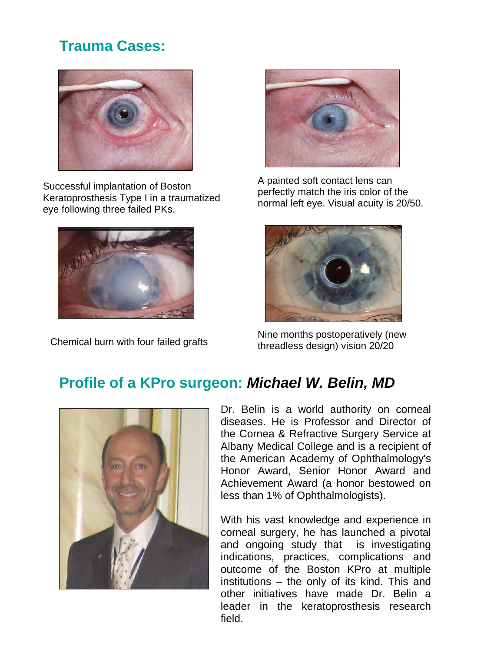# **Trauma Cases:**



Successful implantation of Boston Keratoprosthesis Type I in a traumatized eye following three failed PKs.





A painted soft contact lens can perfectly match the iris color of the normal left eye. Visual acuity is 20/50.



Nine months postoperatively (new Chemical burn with four failed grafts threadless design) vision 20/20

# **Profile of a KPro surgeon:** *Michael W. Belin, MD*



Dr. Belin is a world authority on corneal diseases. He is Professor and Director of the Cornea & Refractive Surgery Service at Albany Medical College and is a recipient of the American Academy of Ophthalmology's Honor Award, Senior Honor Award and Achievement Award (a honor bestowed on less than 1% of Ophthalmologists).

With his vast knowledge and experience in corneal surgery, he has launched a pivotal and ongoing study that is investigating indications, practices, complications and outcome of the Boston KPro at multiple institutions – the only of its kind. This and other initiatives have made Dr. Belin a leader in the keratoprosthesis research field.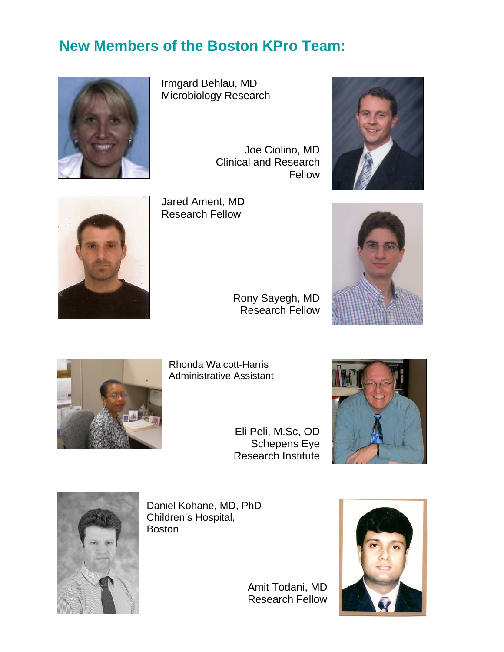# **New Members of the Boston KPro Team:**



Irmgard Behlau, MD Microbiology Research

Joe Ciolino, MD Clinical and Research Fellow





Jared Ament, MD Research Fellow

> Rony Sayegh, MD Research Fellow





Rhonda Walcott-Harris Administrative Assistant

> Eli Peli, M.Sc, OD Schepens Eye Research Institute





Daniel Kohane, MD, PhD Children's Hospital, Boston

> Amit Todani, MD Research Fellow

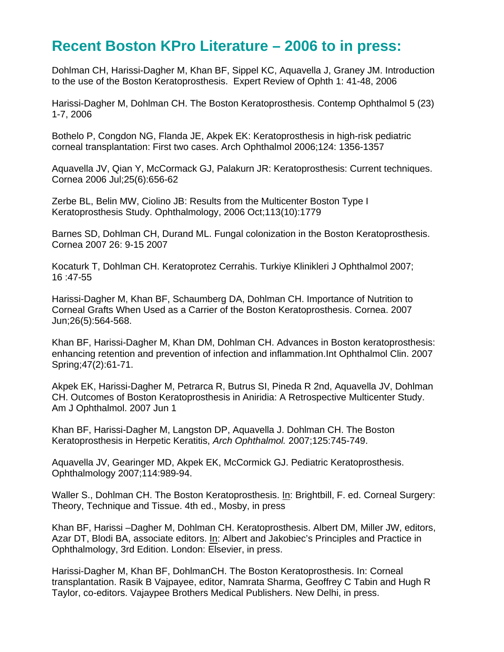### **Recent Boston KPro Literature – 2006 to in press:**

Dohlman CH, Harissi-Dagher M, Khan BF, Sippel KC, Aquavella J, Graney JM. Introduction to the use of the Boston Keratoprosthesis. Expert Review of Ophth 1: 41-48, 2006

Harissi-Dagher M, Dohlman CH. The Boston Keratoprosthesis. Contemp Ophthalmol 5 (23) 1-7, 2006

Bothelo P, Congdon NG, Flanda JE, Akpek EK: Keratoprosthesis in high-risk pediatric corneal transplantation: First two cases. Arch Ophthalmol 2006;124: 1356-1357

Aquavella JV, Qian Y, McCormack GJ, Palakurn JR: Keratoprosthesis: Current techniques. Cornea 2006 Jul;25(6):656-62

Zerbe BL, Belin MW, Ciolino JB: Results from the Multicenter Boston Type I Keratoprosthesis Study. Ophthalmology, 2006 Oct;113(10):1779

Barnes SD, Dohlman CH, Durand ML. Fungal colonization in the Boston Keratoprosthesis. Cornea 2007 26: 9-15 2007

Kocaturk T, Dohlman CH. Keratoprotez Cerrahis. Turkiye Klinikleri J Ophthalmol 2007; 16 :47-55

Harissi-Dagher M, Khan BF, Schaumberg DA, Dohlman CH. Importance of Nutrition to Corneal Grafts When Used as a Carrier of the Boston Keratoprosthesis. Cornea. 2007 Jun;26(5):564-568.

Khan BF, Harissi-Dagher M, Khan DM, Dohlman CH. Advances in Boston keratoprosthesis: enhancing retention and prevention of infection and inflammation.Int Ophthalmol Clin. 2007 Spring;47(2):61-71.

Akpek EK, Harissi-Dagher M, Petrarca R, Butrus SI, Pineda R 2nd, Aquavella JV, Dohlman CH. Outcomes of Boston Keratoprosthesis in Aniridia: A Retrospective Multicenter Study. Am J Ophthalmol. 2007 Jun 1

Khan BF, Harissi-Dagher M, Langston DP, Aquavella J. Dohlman CH. The Boston Keratoprosthesis in Herpetic Keratitis, *Arch Ophthalmol.* 2007;125:745-749.

Aquavella JV, Gearinger MD, Akpek EK, McCormick GJ. Pediatric Keratoprosthesis. Ophthalmology 2007;114:989-94.

Waller S., Dohlman CH. The Boston Keratoprosthesis. In: Brightbill, F. ed. Corneal Surgery: Theory, Technique and Tissue. 4th ed., Mosby, in press

Khan BF, Harissi –Dagher M, Dohlman CH. Keratoprosthesis. Albert DM, Miller JW, editors, Azar DT, Blodi BA, associate editors. In: Albert and Jakobiec's Principles and Practice in Ophthalmology, 3rd Edition. London: Elsevier, in press.

Harissi-Dagher M, Khan BF, DohlmanCH. The Boston Keratoprosthesis. In: Corneal transplantation. Rasik B Vajpayee, editor, Namrata Sharma, Geoffrey C Tabin and Hugh R Taylor, co-editors. Vajaypee Brothers Medical Publishers. New Delhi, in press.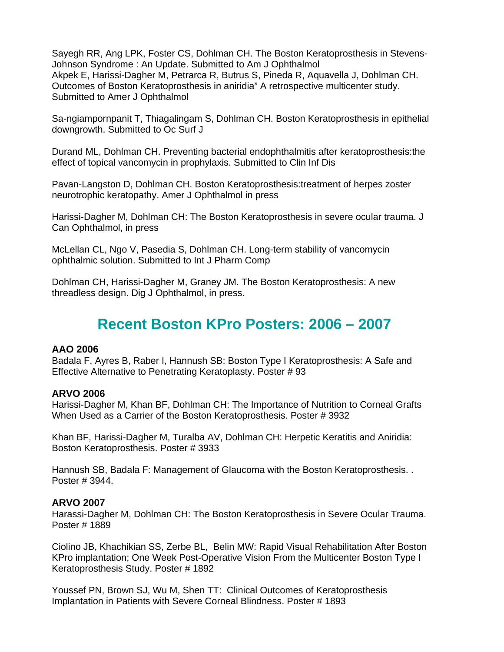Sayegh RR, Ang LPK, Foster CS, Dohlman CH. The Boston Keratoprosthesis in Stevens-Johnson Syndrome : An Update. Submitted to Am J Ophthalmol Akpek E, Harissi-Dagher M, Petrarca R, Butrus S, Pineda R, Aquavella J, Dohlman CH. Outcomes of Boston Keratoprosthesis in aniridia" A retrospective multicenter study. Submitted to Amer J Ophthalmol

Sa-ngiampornpanit T, Thiagalingam S, Dohlman CH. Boston Keratoprosthesis in epithelial downgrowth. Submitted to Oc Surf J

Durand ML, Dohlman CH. Preventing bacterial endophthalmitis after keratoprosthesis:the effect of topical vancomycin in prophylaxis. Submitted to Clin Inf Dis

Pavan-Langston D, Dohlman CH. Boston Keratoprosthesis:treatment of herpes zoster neurotrophic keratopathy. Amer J Ophthalmol in press

Harissi-Dagher M, Dohlman CH: The Boston Keratoprosthesis in severe ocular trauma. J Can Ophthalmol, in press

McLellan CL, Ngo V, Pasedia S, Dohlman CH. Long-term stability of vancomycin ophthalmic solution. Submitted to Int J Pharm Comp

Dohlman CH, Harissi-Dagher M, Graney JM. The Boston Keratoprosthesis: A new threadless design. Dig J Ophthalmol, in press.

#### **Recent Boston KPro Posters: 2006 – 2007**

#### **AAO 2006**

Badala F, Ayres B, Raber I, Hannush SB: Boston Type I Keratoprosthesis: A Safe and Effective Alternative to Penetrating Keratoplasty. Poster # 93

#### **ARVO 2006**

Harissi-Dagher M, Khan BF, Dohlman CH: The Importance of Nutrition to Corneal Grafts When Used as a Carrier of the Boston Keratoprosthesis. Poster # 3932

Khan BF, Harissi-Dagher M, Turalba AV, Dohlman CH: Herpetic Keratitis and Aniridia: Boston Keratoprosthesis. Poster # 3933

Hannush SB, Badala F: Management of Glaucoma with the Boston Keratoprosthesis. . Poster # 3944.

#### **ARVO 2007**

Harassi-Dagher M, Dohlman CH: The Boston Keratoprosthesis in Severe Ocular Trauma. Poster # 1889

Ciolino JB, Khachikian SS, Zerbe BL, Belin MW: Rapid Visual Rehabilitation After Boston KPro implantation; One Week Post-Operative Vision From the Multicenter Boston Type I Keratoprosthesis Study. Poster # 1892

Youssef PN, Brown SJ, Wu M, Shen TT: Clinical Outcomes of Keratoprosthesis Implantation in Patients with Severe Corneal Blindness. Poster # 1893